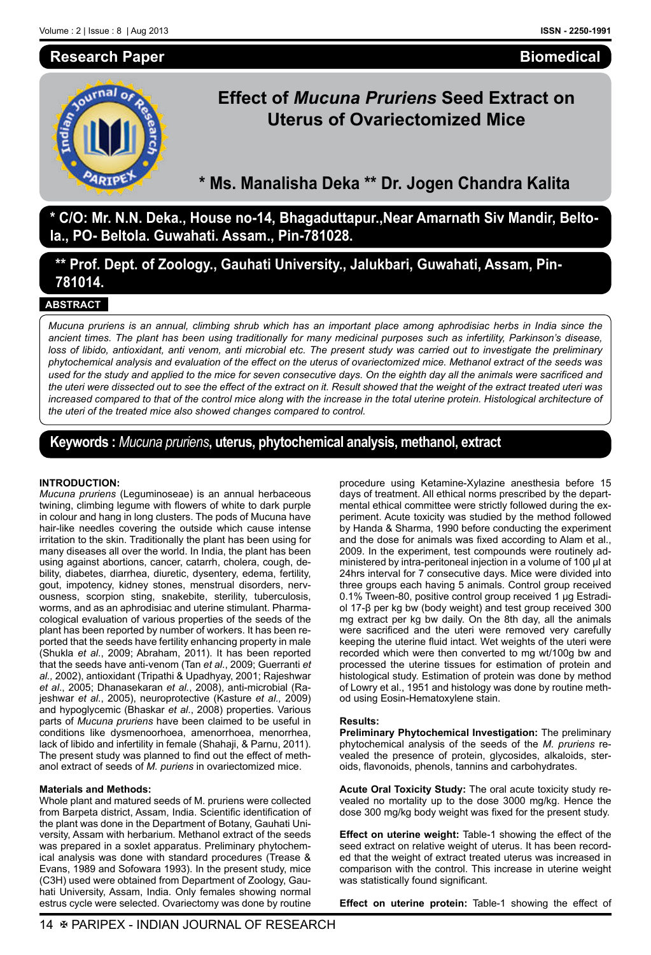## **Research Paper**

## **Biomedical**



# **Effect of** *Mucuna Pruriens* **Seed Extract on Uterus of Ovariectomized Mice**

**\* Ms. Manalisha Deka \*\* Dr. Jogen Chandra Kalita**

**\* C/O: Mr. N.N. Deka., House no-14, Bhagaduttapur.,Near Amarnath Siv Mandir, Beltola., PO- Beltola. Guwahati. Assam., Pin-781028.**

**\*\* Prof. Dept. of Zoology., Gauhati University., Jalukbari, Guwahati, Assam, Pin-781014.**

## **ABSTRACT**

*Mucuna pruriens is an annual, climbing shrub which has an important place among aphrodisiac herbs in India since the ancient times. The plant has been using traditionally for many medicinal purposes such as infertility, Parkinson's disease,*  loss of libido, antioxidant, anti venom, anti microbial etc. The present study was carried out to investigate the preliminary *phytochemical analysis and evaluation of the effect on the uterus of ovariectomized mice. Methanol extract of the seeds was used for the study and applied to the mice for seven consecutive days. On the eighth day all the animals were sacrificed and the uteri were dissected out to see the effect of the extract on it. Result showed that the weight of the extract treated uteri was*  increased compared to that of the control mice along with the increase in the total uterine protein. Histological architecture of *the uteri of the treated mice also showed changes compared to control.*

# **Keywords :** *Mucuna pruriens***, uterus, phytochemical analysis, methanol, extract**

#### **INTRODUCTION:**

*Mucuna pruriens* (Leguminoseae) is an annual herbaceous twining, climbing legume with flowers of white to dark purple in colour and hang in long clusters. The pods of Mucuna have hair-like needles covering the outside which cause intense irritation to the skin. Traditionally the plant has been using for many diseases all over the world. In India, the plant has been using against abortions, cancer, catarrh, cholera, cough, debility, diabetes, diarrhea, diuretic, dysentery, edema, fertility, gout, impotency, kidney stones, menstrual disorders, nervousness, scorpion sting, snakebite, sterility, tuberculosis, worms, and as an aphrodisiac and uterine stimulant. Pharmacological evaluation of various properties of the seeds of the plant has been reported by number of workers. It has been reported that the seeds have fertility enhancing property in male (Shukla *et al*., 2009; Abraham, 2011). It has been reported that the seeds have anti-venom (Tan *et al*., 2009; Guerranti *et al.,* 2002), antioxidant (Tripathi & Upadhyay, 2001; Rajeshwar *et al*., 2005; Dhanasekaran *et al.*, 2008), anti-microbial (Rajeshwar *et al*., 2005), neuroprotective (Kasture *et al.,* 2009) and hypoglycemic (Bhaskar *et al*., 2008) properties. Various parts of *Mucuna pruriens* have been claimed to be useful in conditions like dysmenoorhoea, amenorrhoea, menorrhea, lack of libido and infertility in female (Shahaji, & Parnu, 2011). The present study was planned to find out the effect of methanol extract of seeds of *M. puriens* in ovariectomized mice.

#### **Materials and Methods:**

Whole plant and matured seeds of M. pruriens were collected from Barpeta district, Assam, India. Scientific identification of the plant was done in the Department of Botany, Gauhati University, Assam with herbarium. Methanol extract of the seeds was prepared in a soxlet apparatus. Preliminary phytochemical analysis was done with standard procedures (Trease & Evans, 1989 and Sofowara 1993). In the present study, mice (C3H) used were obtained from Department of Zoology, Gauhati University, Assam, India. Only females showing normal estrus cycle were selected. Ovariectomy was done by routine

procedure using Ketamine-Xylazine anesthesia before 15 days of treatment. All ethical norms prescribed by the departmental ethical committee were strictly followed during the experiment. Acute toxicity was studied by the method followed by Handa & Sharma, 1990 before conducting the experiment and the dose for animals was fixed according to Alam et al., 2009. In the experiment, test compounds were routinely administered by intra-peritoneal injection in a volume of 100 µl at 24hrs interval for 7 consecutive days. Mice were divided into three groups each having 5 animals. Control group received 0.1% Tween-80, positive control group received 1 µg Estradiol 17-β per kg bw (body weight) and test group received 300 mg extract per kg bw daily. On the 8th day, all the animals were sacrificed and the uteri were removed very carefully keeping the uterine fluid intact. Wet weights of the uteri were recorded which were then converted to mg wt/100g bw and processed the uterine tissues for estimation of protein and histological study. Estimation of protein was done by method of Lowry et al., 1951 and histology was done by routine method using Eosin-Hematoxylene stain.

#### **Results:**

**Preliminary Phytochemical Investigation:** The preliminary phytochemical analysis of the seeds of the *M. pruriens* revealed the presence of protein, glycosides, alkaloids, steroids, flavonoids, phenols, tannins and carbohydrates.

**Acute Oral Toxicity Study:** The oral acute toxicity study revealed no mortality up to the dose 3000 mg/kg. Hence the dose 300 mg/kg body weight was fixed for the present study.

**Effect on uterine weight:** Table-1 showing the effect of the seed extract on relative weight of uterus. It has been recorded that the weight of extract treated uterus was increased in comparison with the control. This increase in uterine weight was statistically found significant.

**Effect on uterine protein:** Table-1 showing the effect of